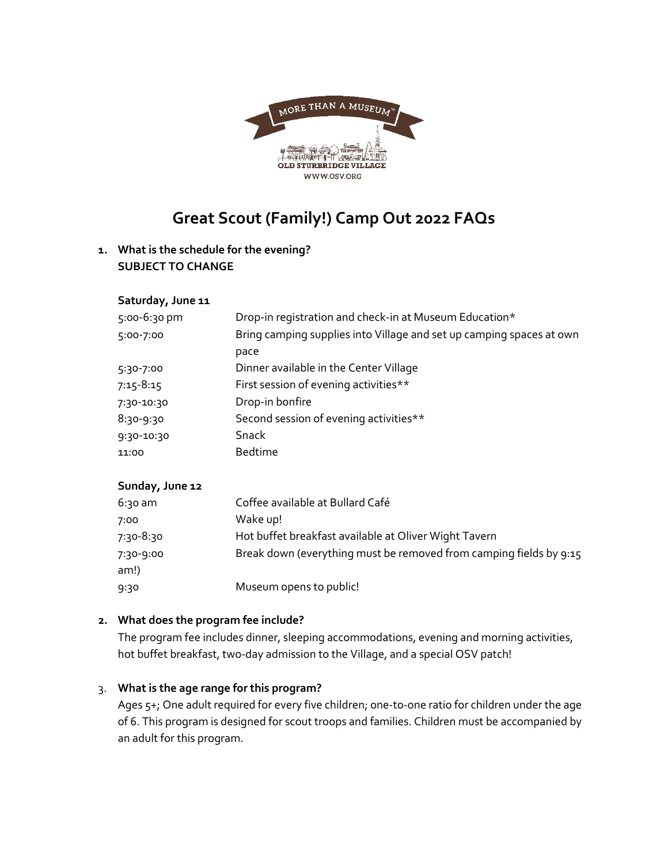

# **Great Scout (Family!) Camp Out 2022 FAQs**

# **1. What is the schedule for the evening? SUBJECT TO CHANGE**

## **Saturday, June 11**

| 5:00-6:30 pm | Drop-in registration and check-in at Museum Education*               |
|--------------|----------------------------------------------------------------------|
| 5:00-7:00    | Bring camping supplies into Village and set up camping spaces at own |
|              | pace                                                                 |
| 5:30-7:00    | Dinner available in the Center Village                               |
| 7:15-8:15    | First session of evening activities**                                |
| 7:30-10:30   | Drop-in bonfire                                                      |
| 8:30-9:30    | Second session of evening activities**                               |
| 9:30-10:30   | Snack                                                                |
| 11:00        | <b>Bedtime</b>                                                       |
|              |                                                                      |

## **Sunday, June 12**

| $6:30$ am         | Coffee available at Bullard Café                                   |
|-------------------|--------------------------------------------------------------------|
| 7:00              | Wake up!                                                           |
| 7:30-8:30         | Hot buffet breakfast available at Oliver Wight Tavern              |
| 7:30-9:00<br>am!) | Break down (everything must be removed from camping fields by 9:15 |
| 9:30              | Museum opens to public!                                            |

#### **2. What does the program fee include?**

The program fee includes dinner, sleeping accommodations, evening and morning activities, hot buffet breakfast, two-day admission to the Village, and a special OSV patch!

#### 3. **What is the age range for this program?**

Ages 5+; One adult required for every five children; one-to-one ratio for children under the age of 6. This program is designed for scout troops and families. Children must be accompanied by an adult for this program.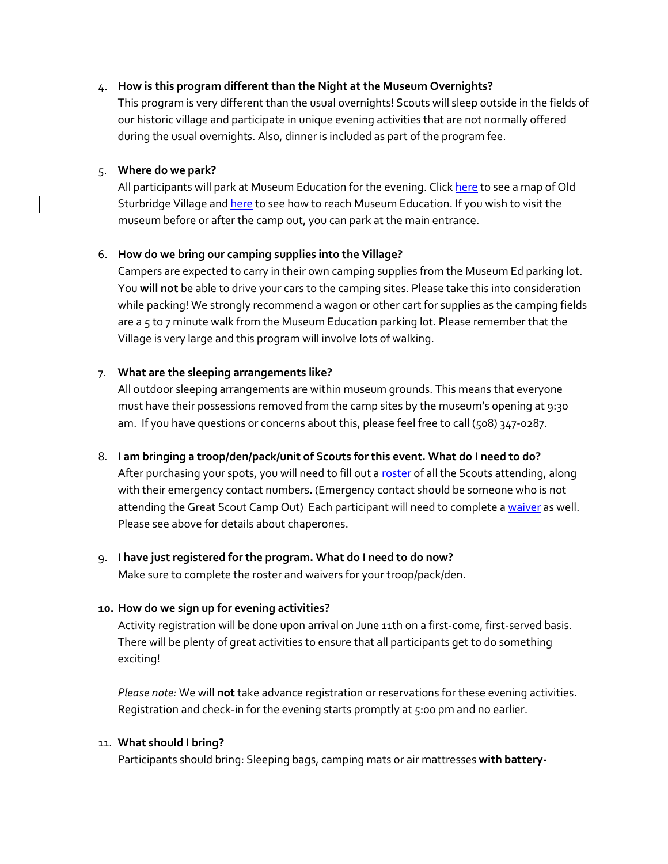#### 4. **How is this program different than the Night at the Museum Overnights?**

This program is very different than the usual overnights! Scouts will sleep outside in the fields of our historic village and participate in unique evening activities that are not normally offered during the usual overnights. Also, dinner is included as part of the program fee.

#### 5. **Where do we park?**

All participants will park at Museum Education for the evening. Clic[k here](https://www.osv.org/content/uploads/2018/02/Old-Sturbridge-Village-Map.pdf) to see a map of Old Sturbridge Village an[d here](https://www.osv.org/content/uploads/2018/02/Directions-to-Museum-Education-Building.pdf) to see how to reach Museum Education. If you wish to visit the museum before or after the camp out, you can park at the main entrance.

#### 6. **How do we bring our camping supplies into the Village?**

Campers are expected to carry in their own camping supplies from the Museum Ed parking lot. You **will not** be able to drive your cars to the camping sites. Please take this into consideration while packing! We strongly recommend a wagon or other cart for supplies as the camping fields are a 5 to 7 minute walk from the Museum Education parking lot. Please remember that the Village is very large and this program will involve lots of walking.

#### 7. **What are the sleeping arrangements like?**

All outdoor sleeping arrangements are within museum grounds. This means that everyone must have their possessions removed from the camp sites by the museum's opening at 9:30 am. If you have questions or concerns about this, please feel free to call (508) 347-0287.

## 8. **I am bringing a troop/den/pack/unit of Scouts for this event. What do I need to do?** After purchasing your spots, you will need to fill out a [roster](https://www.osv.org/content/uploads/2022/03/campout_roster-2022.doc) of all the Scouts attending, along

with their emergency contact numbers. (Emergency contact should be someone who is not attending the Great Scout Camp Out) Each participant will need to complete a [waiver](https://www.osv.org/content/uploads/2022/03/Release-from-Liability-and-Model-Release.pdf) as well. Please see above for details about chaperones.

#### 9. **I have just registered for the program. What do I need to do now?**

Make sure to complete the roster and waivers for your troop/pack/den.

#### **10. How do we sign up for evening activities?**

Activity registration will be done upon arrival on June 11th on a first-come, first-served basis. There will be plenty of great activities to ensure that all participants get to do something exciting!

*Please note:* We will **not** take advance registration or reservations for these evening activities. Registration and check-in for the evening starts promptly at 5:00 pm and no earlier.

#### 11. **What should I bring?**

Participants should bring: Sleeping bags, camping mats or air mattresses **with battery-**